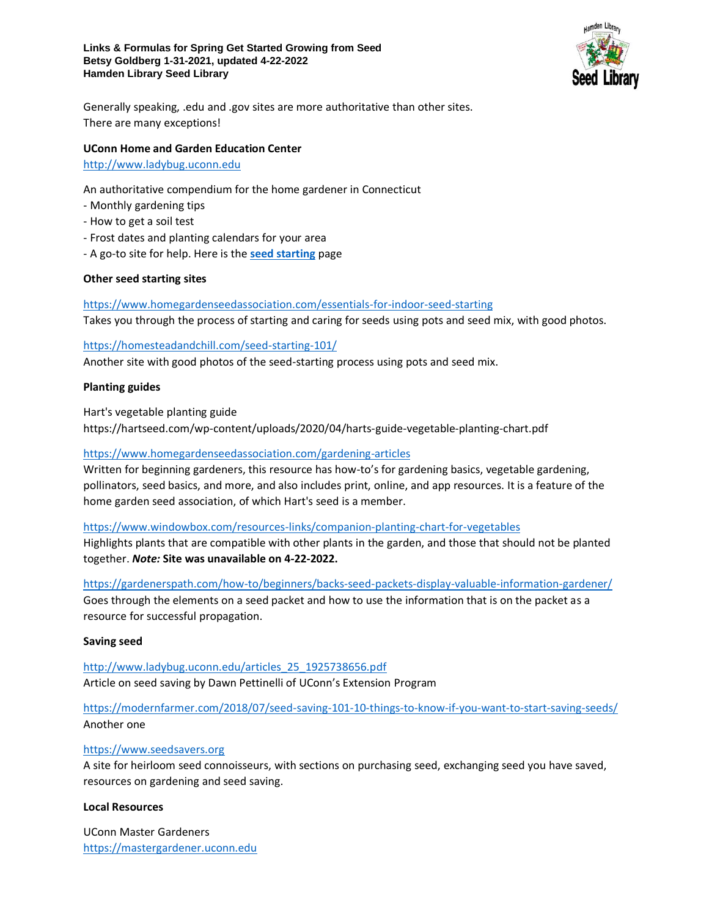

Generally speaking, .edu and .gov sites are more authoritative than other sites. There are many exceptions!

### **UConn Home and Garden Education Center**

# [http://www.ladybug.uconn.edu](http://www.ladybug.uconn.edu/)

An authoritative compendium for the home gardener in Connecticut

- Monthly gardening tips
- How to get a soil test
- Frost dates and planting calendars for your area
- A go-to site for help. Here is the **[seed starting](http://www.ladybug.uconn.edu/FactSheets/seed-starting_10_3206943398.pdf)** page

### **Other seed starting sites**

<https://www.homegardenseedassociation.com/essentials-for-indoor-seed-starting> Takes you through the process of starting and caring for seeds using pots and seed mix, with good photos.

#### <https://homesteadandchill.com/seed-starting-101/>

Another site with good photos of the seed-starting process using pots and seed mix.

### **Planting guides**

Hart's vegetable planting guide

<https://hartseed.com/wp-content/uploads/2020/04/harts-guide-vegetable-planting-chart.pdf>

### <https://www.homegardenseedassociation.com/gardening-articles>

Written for beginning gardeners, this resource has how-to's for gardening basics, vegetable gardening, pollinators, seed basics, and more, and also includes print, online, and app resources. It is a feature of the home garden seed association, of which Hart's seed is a member.

#### <https://www.windowbox.com/resources-links/companion-planting-chart-for-vegetables>

Highlights plants that are compatible with other plants in the garden, and those that should not be planted together. *Note:* **Site was unavailable on 4-22-2022.**

<https://gardenerspath.com/how-to/beginners/backs-seed-packets-display-valuable-information-gardener/>

Goes through the elements on a seed packet and how to use the information that is on the packet as a resource for successful propagation.

#### **Saving seed**

[http://www.ladybug.uconn.edu/articles\\_25\\_1925738656.pdf](http://www.ladybug.uconn.edu/articles_25_1925738656.pdf) Article on seed saving by Dawn Pettinelli of UConn's Extension Program

<https://modernfarmer.com/2018/07/seed-saving-101-10-things-to-know-if-you-want-to-start-saving-seeds/> Another one

# [https://www.seedsavers.org](https://www.seedsavers.org/)

A site for heirloom seed connoisseurs, with sections on purchasing seed, exchanging seed you have saved, resources on gardening and seed saving.

#### **Local Resources**

UConn Master Gardeners [https://mastergardener.uconn.edu](https://mastergardener.uconn.edu/)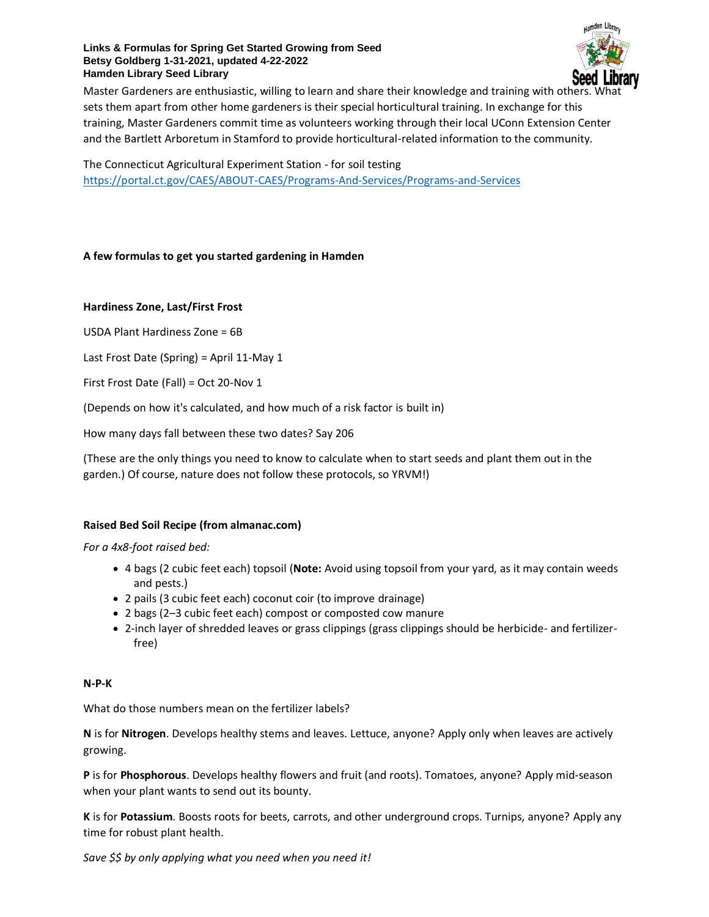### **Links & Formulas for Spring Get Started Growing from Seed Betsy Goldberg 1-31-2021, updated 4-22-2022 Hamden Library Seed Library**



Master Gardeners are enthusiastic, willing to learn and share their knowledge and training with other sets them apart from other home gardeners is their special horticultural training. In exchange for this training, Master Gardeners commit time as volunteers working through their local UConn Extension Center and the Bartlett Arboretum in Stamford to provide horticultural-related information to the community.

The Connecticut Agricultural Experiment Station - for soil testing <https://portal.ct.gov/CAES/ABOUT-CAES/Programs-And-Services/Programs-and-Services>

# **A few formulas to get you started gardening in Hamden**

# **Hardiness Zone, Last/First Frost**

USDA Plant Hardiness Zone = 6B

Last Frost Date (Spring) = April 11-May 1

First Frost Date (Fall) = Oct 20-Nov 1

(Depends on how it's calculated, and how much of a risk factor is built in)

How many days fall between these two dates? Say 206

(These are the only things you need to know to calculate when to start seeds and plant them out in the garden.) Of course, nature does not follow these protocols, so YRVM!)

# **Raised Bed Soil Recipe (from almanac.com)**

*For a 4x8-foot raised bed:*

- 4 bags (2 cubic feet each) topsoil (**Note:** Avoid using topsoil from your yard, as it may contain weeds and pests.)
- 2 pails (3 cubic feet each) coconut coir (to improve drainage)
- 2 bags (2–3 cubic feet each) compost or composted cow manure
- 2-inch layer of shredded leaves or grass clippings (grass clippings should be herbicide- and fertilizerfree)

#### **N-P-K**

What do those numbers mean on the fertilizer labels?

**N** is for **Nitrogen**. Develops healthy stems and leaves. Lettuce, anyone? Apply only when leaves are actively growing.

**P** is for **Phosphorous**. Develops healthy flowers and fruit (and roots). Tomatoes, anyone? Apply mid-season when your plant wants to send out its bounty.

**K** is for **Potassium**. Boosts roots for beets, carrots, and other underground crops. Turnips, anyone? Apply any time for robust plant health.

*Save \$\$ by only applying what you need when you need it!*